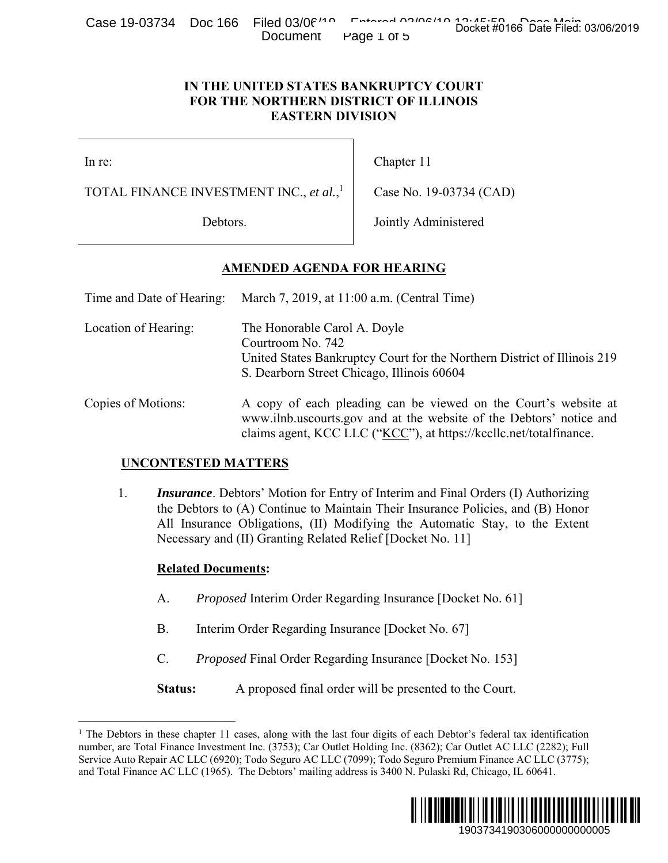Case 19-03734 Doc 166 Filed 03/06/<sup>110</sup> Entered 03/06/19 Docket #0166 Date Filed: 03/06/2019 Document Page 1 of 5

#### **IN THE UNITED STATES BANKRUPTCY COURT FOR THE NORTHERN DISTRICT OF ILLINOIS EASTERN DIVISION**

 $\overline{a}$ 

### **AMENDED AGENDA FOR HEARING**

|                                                     |                            | Case 19-00104 DOC 100 THEO 00/00<br>Document                                                                                                                                                                                                                                                                             | Page 1 of 5                                 | Docket #0166 Date Filed: 03/06/2019                                                                                                                                                                                                                                                                                                                |  |
|-----------------------------------------------------|----------------------------|--------------------------------------------------------------------------------------------------------------------------------------------------------------------------------------------------------------------------------------------------------------------------------------------------------------------------|---------------------------------------------|----------------------------------------------------------------------------------------------------------------------------------------------------------------------------------------------------------------------------------------------------------------------------------------------------------------------------------------------------|--|
|                                                     |                            | IN THE UNITED STATES BANKRUPTCY COURT<br>FOR THE NORTHERN DISTRICT OF ILLINOIS<br><b>EASTERN DIVISION</b>                                                                                                                                                                                                                |                                             |                                                                                                                                                                                                                                                                                                                                                    |  |
| In re:                                              |                            |                                                                                                                                                                                                                                                                                                                          | Chapter 11                                  |                                                                                                                                                                                                                                                                                                                                                    |  |
| TOTAL FINANCE INVESTMENT INC., et al., <sup>1</sup> |                            |                                                                                                                                                                                                                                                                                                                          | Case No. 19-03734 (CAD)                     |                                                                                                                                                                                                                                                                                                                                                    |  |
| Debtors.                                            |                            |                                                                                                                                                                                                                                                                                                                          | Jointly Administered                        |                                                                                                                                                                                                                                                                                                                                                    |  |
|                                                     |                            | <u>AMENDED AGENDA FOR HEARING</u>                                                                                                                                                                                                                                                                                        |                                             |                                                                                                                                                                                                                                                                                                                                                    |  |
| Time and Date of Hearing:                           |                            |                                                                                                                                                                                                                                                                                                                          | March 7, 2019, at 11:00 a.m. (Central Time) |                                                                                                                                                                                                                                                                                                                                                    |  |
| Location of Hearing:                                |                            | The Honorable Carol A. Doyle<br>Courtroom No. 742<br>United States Bankruptcy Court for the Northern District of Illinois 219<br>S. Dearborn Street Chicago, Illinois 60604                                                                                                                                              |                                             |                                                                                                                                                                                                                                                                                                                                                    |  |
| Copies of Motions:                                  |                            | A copy of each pleading can be viewed on the Court's website at<br>www.ilnb.uscourts.gov and at the website of the Debtors' notice and<br>claims agent, KCC LLC ("KCC"), at https://kccllc.net/totalfinance.                                                                                                             |                                             |                                                                                                                                                                                                                                                                                                                                                    |  |
|                                                     | <b>UNCONTESTED MATTERS</b> |                                                                                                                                                                                                                                                                                                                          |                                             |                                                                                                                                                                                                                                                                                                                                                    |  |
| 1.                                                  |                            | <i>Insurance</i> . Debtors' Motion for Entry of Interim and Final Orders (I) Authorizing<br>the Debtors to (A) Continue to Maintain Their Insurance Policies, and (B) Honor<br>All Insurance Obligations, (II) Modifying the Automatic Stay, to the Extent<br>Necessary and (II) Granting Related Relief [Docket No. 11] |                                             |                                                                                                                                                                                                                                                                                                                                                    |  |
|                                                     | <b>Related Documents:</b>  |                                                                                                                                                                                                                                                                                                                          |                                             |                                                                                                                                                                                                                                                                                                                                                    |  |
| A.<br><b>B.</b>                                     |                            | <i>Proposed</i> Interim Order Regarding Insurance [Docket No. 61]                                                                                                                                                                                                                                                        |                                             |                                                                                                                                                                                                                                                                                                                                                    |  |
|                                                     |                            | Interim Order Regarding Insurance [Docket No. 67]                                                                                                                                                                                                                                                                        |                                             |                                                                                                                                                                                                                                                                                                                                                    |  |
|                                                     | C.                         | <i>Proposed</i> Final Order Regarding Insurance [Docket No. 153]                                                                                                                                                                                                                                                         |                                             |                                                                                                                                                                                                                                                                                                                                                    |  |
|                                                     | Status:                    | A proposed final order will be presented to the Court.                                                                                                                                                                                                                                                                   |                                             |                                                                                                                                                                                                                                                                                                                                                    |  |
|                                                     |                            | nd Total Finance AC LLC (1965). The Debtors' mailing address is 3400 N. Pulaski Rd, Chicago, IL 60641.                                                                                                                                                                                                                   |                                             | The Debtors in these chapter 11 cases, along with the last four digits of each Debtor's federal tax identification<br>uumber, are Total Finance Investment Inc. (3753); Car Outlet Holding Inc. (8362); Car Outlet AC LLC (2282); Full<br>Service Auto Repair AC LLC (6920); Todo Seguro AC LLC (7099); Todo Seguro Premium Finance AC LLC (3775); |  |
|                                                     |                            |                                                                                                                                                                                                                                                                                                                          |                                             | <br>1903734190306000000000005                                                                                                                                                                                                                                                                                                                      |  |

#### **UNCONTESTED MATTERS**

#### **Related Documents:**

- A. *Proposed* Interim Order Regarding Insurance [Docket No. 61]
- B. Interim Order Regarding Insurance [Docket No. 67]
- C. *Proposed* Final Order Regarding Insurance [Docket No. 153]

<sup>&</sup>lt;sup>1</sup> The Debtors in these chapter 11 cases, along with the last four digits of each Debtor's federal tax identification number, are Total Finance Investment Inc. (3753); Car Outlet Holding Inc. (8362); Car Outlet AC LLC (2282); Full Service Auto Repair AC LLC (6920); Todo Seguro AC LLC (7099); Todo Seguro Premium Finance AC LLC (3775); and Total Finance AC LLC (1965). The Debtors' mailing address is 3400 N. Pulaski Rd, Chicago, IL 60641.

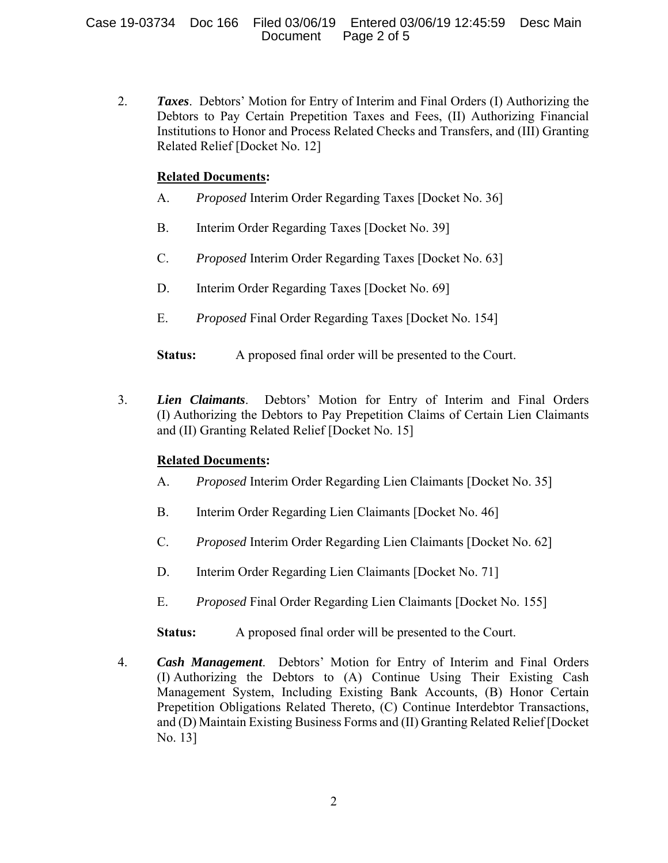Case 19-03734 Doc 166 Filed 03/06/19 Entered 03/06/19 12:45:59 Desc Main Page 2 of 5

2. *Taxes*. Debtors' Motion for Entry of Interim and Final Orders (I) Authorizing the Debtors to Pay Certain Prepetition Taxes and Fees, (II) Authorizing Financial Institutions to Honor and Process Related Checks and Transfers, and (III) Granting Related Relief [Docket No. 12]

#### **Related Documents:**

- A. *Proposed* Interim Order Regarding Taxes [Docket No. 36]
- B. Interim Order Regarding Taxes [Docket No. 39]
- C. *Proposed* Interim Order Regarding Taxes [Docket No. 63]
- D. Interim Order Regarding Taxes [Docket No. 69]
- E. *Proposed* Final Order Regarding Taxes [Docket No. 154]
- **Status:** A proposed final order will be presented to the Court.
- 3. *Lien Claimants*. Debtors' Motion for Entry of Interim and Final Orders (I) Authorizing the Debtors to Pay Prepetition Claims of Certain Lien Claimants and (II) Granting Related Relief [Docket No. 15]

### **Related Documents:**

- A. *Proposed* Interim Order Regarding Lien Claimants [Docket No. 35]
- B. Interim Order Regarding Lien Claimants [Docket No. 46]
- C. *Proposed* Interim Order Regarding Lien Claimants [Docket No. 62]
- D. Interim Order Regarding Lien Claimants [Docket No. 71]
- E. *Proposed* Final Order Regarding Lien Claimants [Docket No. 155]

**Status:** A proposed final order will be presented to the Court.

4. *Cash Management*. Debtors' Motion for Entry of Interim and Final Orders (I) Authorizing the Debtors to (A) Continue Using Their Existing Cash Management System, Including Existing Bank Accounts, (B) Honor Certain Prepetition Obligations Related Thereto, (C) Continue Interdebtor Transactions, and (D) Maintain Existing Business Forms and (II) Granting Related Relief [Docket No. 13]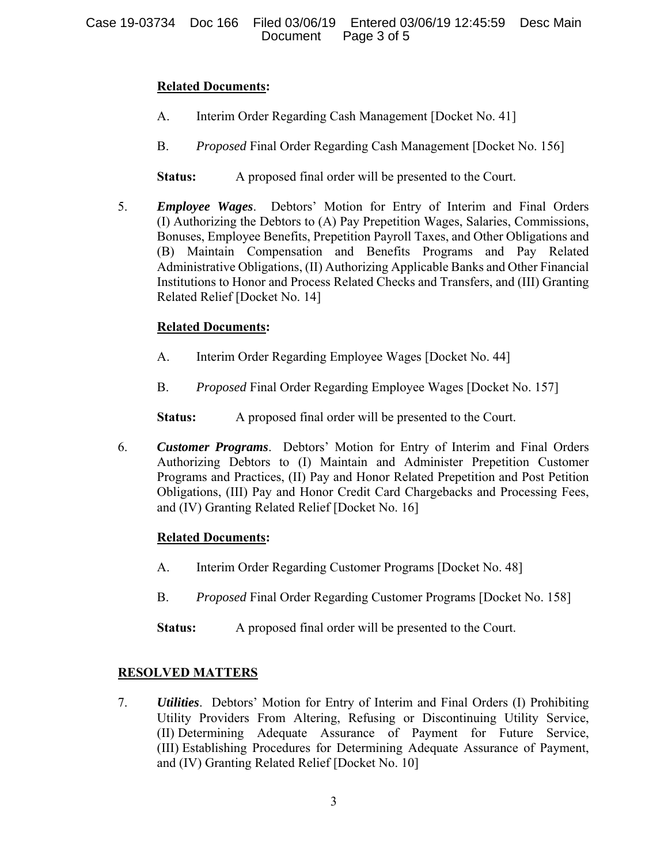## **Related Documents:**

- A. Interim Order Regarding Cash Management [Docket No. 41]
- B. *Proposed* Final Order Regarding Cash Management [Docket No. 156]

**Status:** A proposed final order will be presented to the Court.

5. *Employee Wages*. Debtors' Motion for Entry of Interim and Final Orders (I) Authorizing the Debtors to (A) Pay Prepetition Wages, Salaries, Commissions, Bonuses, Employee Benefits, Prepetition Payroll Taxes, and Other Obligations and (B) Maintain Compensation and Benefits Programs and Pay Related Administrative Obligations, (II) Authorizing Applicable Banks and Other Financial Institutions to Honor and Process Related Checks and Transfers, and (III) Granting Related Relief [Docket No. 14]

# **Related Documents:**

- A. Interim Order Regarding Employee Wages [Docket No. 44]
- B. *Proposed* Final Order Regarding Employee Wages [Docket No. 157]

**Status:** A proposed final order will be presented to the Court.

6. *Customer Programs*. Debtors' Motion for Entry of Interim and Final Orders Authorizing Debtors to (I) Maintain and Administer Prepetition Customer Programs and Practices, (II) Pay and Honor Related Prepetition and Post Petition Obligations, (III) Pay and Honor Credit Card Chargebacks and Processing Fees, and (IV) Granting Related Relief [Docket No. 16]

# **Related Documents:**

- A. Interim Order Regarding Customer Programs [Docket No. 48]
- B. *Proposed* Final Order Regarding Customer Programs [Docket No. 158]
- **Status:** A proposed final order will be presented to the Court.

# **RESOLVED MATTERS**

7. *Utilities*. Debtors' Motion for Entry of Interim and Final Orders (I) Prohibiting Utility Providers From Altering, Refusing or Discontinuing Utility Service, (II) Determining Adequate Assurance of Payment for Future Service, (III) Establishing Procedures for Determining Adequate Assurance of Payment, and (IV) Granting Related Relief [Docket No. 10]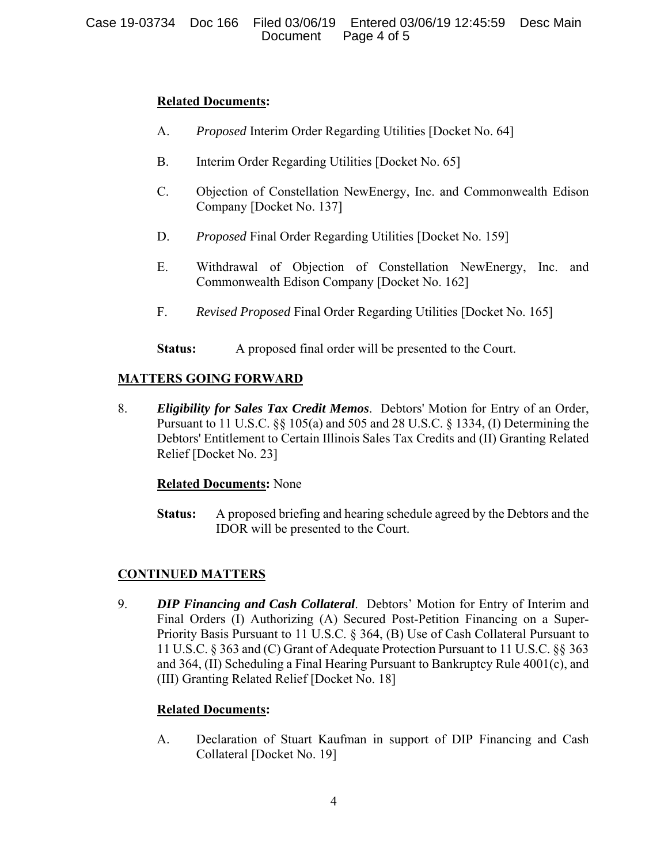### **Related Documents:**

- A. *Proposed* Interim Order Regarding Utilities [Docket No. 64]
- B. Interim Order Regarding Utilities [Docket No. 65]
- C. Objection of Constellation NewEnergy, Inc. and Commonwealth Edison Company [Docket No. 137]
- D. *Proposed* Final Order Regarding Utilities [Docket No. 159]
- E. Withdrawal of Objection of Constellation NewEnergy, Inc. and Commonwealth Edison Company [Docket No. 162]
- F. *Revised Proposed* Final Order Regarding Utilities [Docket No. 165]
- **Status:** A proposed final order will be presented to the Court.

## **MATTERS GOING FORWARD**

8. *Eligibility for Sales Tax Credit Memos*. Debtors' Motion for Entry of an Order, Pursuant to 11 U.S.C. §§ 105(a) and 505 and 28 U.S.C. § 1334, (I) Determining the Debtors' Entitlement to Certain Illinois Sales Tax Credits and (II) Granting Related Relief [Docket No. 23]

### **Related Documents:** None

**Status:** A proposed briefing and hearing schedule agreed by the Debtors and the IDOR will be presented to the Court.

### **CONTINUED MATTERS**

9. *DIP Financing and Cash Collateral*. Debtors' Motion for Entry of Interim and Final Orders (I) Authorizing (A) Secured Post-Petition Financing on a Super-Priority Basis Pursuant to 11 U.S.C. § 364, (B) Use of Cash Collateral Pursuant to 11 U.S.C. § 363 and (C) Grant of Adequate Protection Pursuant to 11 U.S.C. §§ 363 and 364, (II) Scheduling a Final Hearing Pursuant to Bankruptcy Rule 4001(c), and (III) Granting Related Relief [Docket No. 18]

### **Related Documents:**

A. Declaration of Stuart Kaufman in support of DIP Financing and Cash Collateral [Docket No. 19]